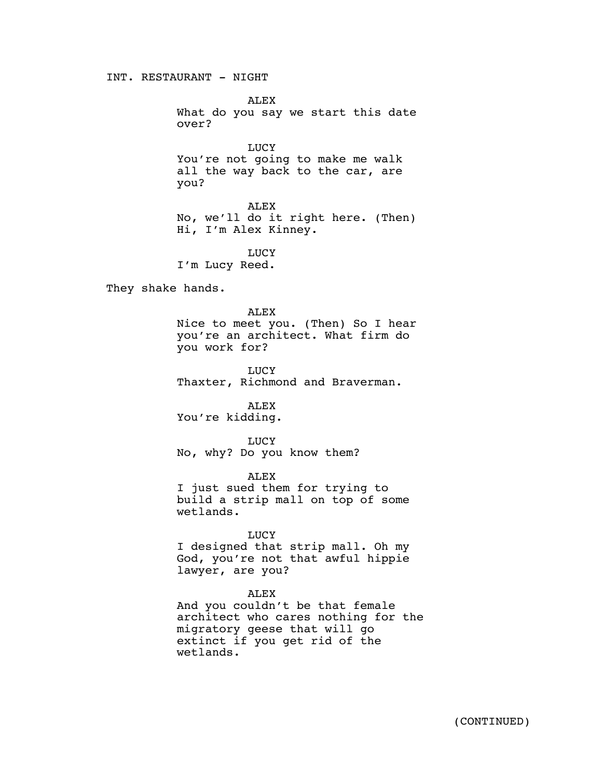INT. RESTAURANT - NIGHT

ALEX What do you say we start this date over?

**LUCY** You're not going to make me walk all the way back to the car, are you?

ALEX No, we'll do it right here. (Then) Hi, I'm Alex Kinney.

**LUCY** I'm Lucy Reed.

They shake hands.

ALEX Nice to meet you. (Then) So I hear you're an architect. What firm do you work for?

LUCY Thaxter, Richmond and Braverman.

ALEX You're kidding.

**LUCY** No, why? Do you know them?

ALEX I just sued them for trying to build a strip mall on top of some wetlands.

## LUCY

I designed that strip mall. Oh my God, you're not that awful hippie lawyer, are you?

# ALEX

And you couldn't be that female architect who cares nothing for the migratory geese that will go extinct if you get rid of the wetlands.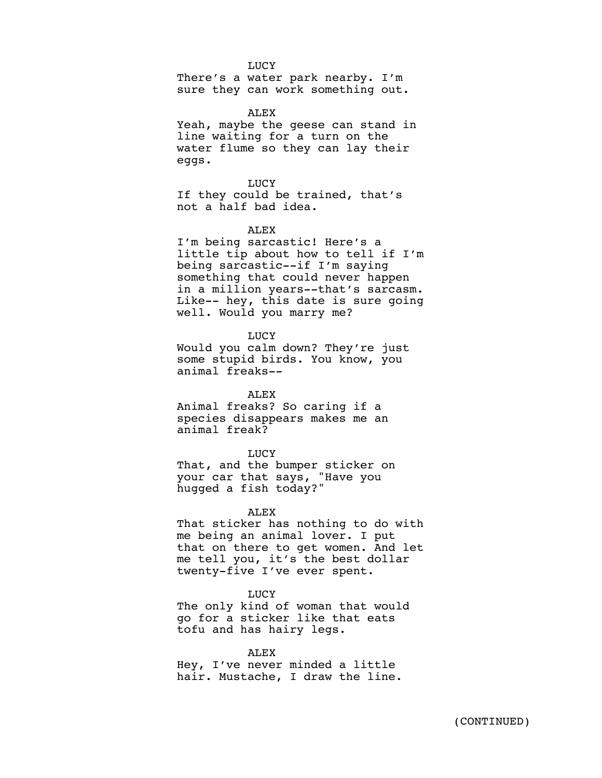## **LUCY**

There's a water park nearby. I'm sure they can work something out.

## ALEX

Yeah, maybe the geese can stand in line waiting for a turn on the water flume so they can lay their eggs.

LUCY If they could be trained, that's not a half bad idea.

## ALEX

I'm being sarcastic! Here's a little tip about how to tell if I'm being sarcastic--if I'm saying something that could never happen in a million years--that's sarcasm. Like-- hey, this date is sure going well. Would you marry me?

LUCY

Would you calm down? They're just some stupid birds. You know, you animal freaks--

# ALEX

Animal freaks? So caring if a species disappears makes me an animal freak?

#### **LUCY**

That, and the bumper sticker on your car that says, "Have you hugged a fish today?"

## ALEX

That sticker has nothing to do with me being an animal lover. I put that on there to get women. And let me tell you, it's the best dollar twenty-five I've ever spent.

#### LUCY

The only kind of woman that would go for a sticker like that eats tofu and has hairy legs.

### ALEX

Hey, I've never minded a little hair. Mustache, I draw the line.